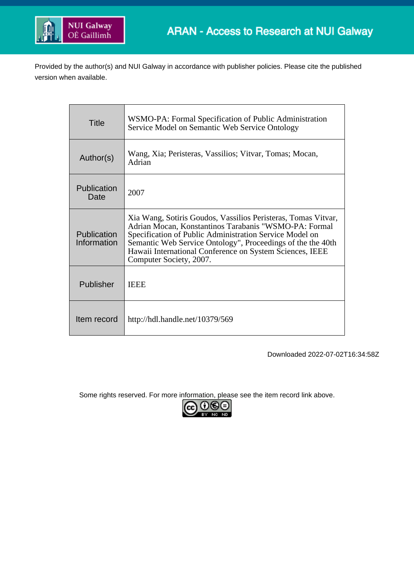

Provided by the author(s) and NUI Galway in accordance with publisher policies. Please cite the published version when available.

| Title                             | WSMO-PA: Formal Specification of Public Administration<br>Service Model on Semantic Web Service Ontology                                                                                                                                                                                                                                |
|-----------------------------------|-----------------------------------------------------------------------------------------------------------------------------------------------------------------------------------------------------------------------------------------------------------------------------------------------------------------------------------------|
| Author(s)                         | Wang, Xia; Peristeras, Vassilios; Vitvar, Tomas; Mocan,<br>Adrian                                                                                                                                                                                                                                                                       |
| Publication<br>Date               | 2007                                                                                                                                                                                                                                                                                                                                    |
| <b>Publication</b><br>Information | Xia Wang, Sotiris Goudos, Vassilios Peristeras, Tomas Vitvar,<br>Adrian Mocan, Konstantinos Tarabanis "WSMO-PA: Formal<br>Specification of Public Administration Service Model on<br>Semantic Web Service Ontology", Proceedings of the the 40th<br>Hawaii International Conference on System Sciences, IEEE<br>Computer Society, 2007. |
| Publisher                         | <b>IEEE</b>                                                                                                                                                                                                                                                                                                                             |
| Item record                       | http://hdl.handle.net/10379/569                                                                                                                                                                                                                                                                                                         |

Downloaded 2022-07-02T16:34:58Z

Some rights reserved. For more information, please see the item record link above.

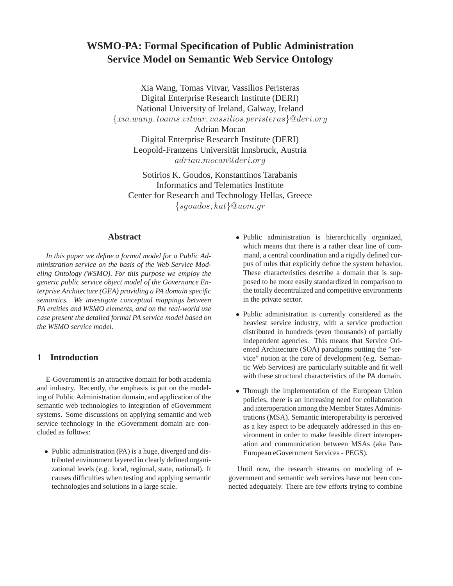# **WSMO-PA: Formal Specification of Public Administration Service Model on Semantic Web Service Ontology**

Xia Wang, Tomas Vitvar, Vassilios Peristeras Digital Enterprise Research Institute (DERI) National University of Ireland, Galway, Ireland {*xia.wang, toams.vitvar, vassilios.peristeras*}@*deri.org* Adrian Mocan Digital Enterprise Research Institute (DERI)

Leopold-Franzens Universität Innsbruck, Austria

*adrian.mocan*@*deri.org*

Sotirios K. Goudos, Konstantinos Tarabanis Informatics and Telematics Institute Center for Research and Technology Hellas, Greece {*sgoudos, kat*}@*uom.gr*

# **Abstract**

*In this paper we define a formal model for a Public Administration service on the basis of the Web Service Modeling Ontology (WSMO). For this purpose we employ the generic public service object model of the Governance Enterprise Architecture (GEA) providing a PA domain specific semantics. We investigate conceptual mappings between PA entities and WSMO elements, and on the real-world use case present the detailed formal PA service model based on the WSMO service model.*

# **1 Introduction**

E-Government is an attractive domain for both academia and industry. Recently, the emphasis is put on the modeling of Public Administration domain, and application of the semantic web technologies to integration of eGovernment systems. Some discussions on applying semantic and web service technology in the eGovernment domain are concluded as follows:

• Public administration (PA) is a huge, diverged and distributed environment layered in clearly defined organizational levels (e.g. local, regional, state, national). It causes difficulties when testing and applying semantic technologies and solutions in a large scale.

- Public administration is hierarchically organized, which means that there is a rather clear line of command, a central coordination and a rigidly defined corpus of rules that explicitly define the system behavior. These characteristics describe a domain that is supposed to be more easily standardized in comparison to the totally decentralized and competitive environments in the private sector.
- Public administration is currently considered as the heaviest service industry, with a service production distributed in hundreds (even thousands) of partially independent agencies. This means that Service Oriented Architecture (SOA) paradigms putting the "service" notion at the core of development (e.g. Semantic Web Services) are particularly suitable and fit well with these structural characteristics of the PA domain.
- Through the implementation of the European Union policies, there is an increasing need for collaboration and interoperation among the Member States Administrations (MSA). Semantic interoperability is perceived as a key aspect to be adequately addressed in this environment in order to make feasible direct interoperation and communication between MSAs (aka Pan-European eGovernment Services - PEGS).

Until now, the research streams on modeling of egovernment and semantic web services have not been connected adequately. There are few efforts trying to combine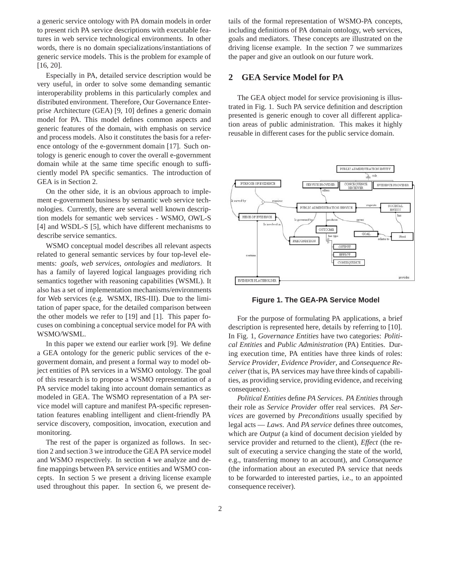a generic service ontology with PA domain models in order to present rich PA service descriptions with executable features in web service technological environments. In other words, there is no domain specializations/instantiations of generic service models. This is the problem for example of [16, 20].

Especially in PA, detailed service description would be very useful, in order to solve some demanding semantic interoperability problems in this particularly complex and distributed environment. Therefore, Our Governance Enterprise Architecture (GEA) [9, 10] defines a generic domain model for PA. This model defines common aspects and generic features of the domain, with emphasis on service and process models. Also it constitutes the basis for a reference ontology of the e-government domain [17]. Such ontology is generic enough to cover the overall e-government domain while at the same time specific enough to sufficiently model PA specific semantics. The introduction of GEA is in Section 2.

On the other side, it is an obvious approach to implement e-government business by semantic web service technologies. Currently, there are several well known description models for semantic web services - WSMO, OWL-S [4] and WSDL-S [5], which have different mechanisms to describe service semantics.

WSMO conceptual model describes all relevant aspects related to general semantic services by four top-level elements: *goals*, *web services*, *ontologies* and *mediators*. It has a family of layered logical languages providing rich semantics together with reasoning capabilities (WSML). It also has a set of implementation mechanisms/environments for Web services (e.g. WSMX, IRS-III). Due to the limitation of paper space, for the detailed comparison between the other models we refer to [19] and [1]. This paper focuses on combining a conceptual service model for PA with WSMO/WSML.

In this paper we extend our earlier work [9]. We define a GEA ontology for the generic public services of the egoverment domain, and present a formal way to model object entities of PA services in a WSMO ontology. The goal of this research is to propose a WSMO representation of a PA service model taking into account domain semantics as modeled in GEA. The WSMO representation of a PA service model will capture and manifest PA-specific representation features enabling intelligent and client-friendly PA service discovery, composition, invocation, execution and monitoring.

The rest of the paper is organized as follows. In section 2 and section 3 we introduce the GEA PA service model and WSMO respectively. In section 4 we analyze and define mappings between PA service entities and WSMO concepts. In section 5 we present a driving license example used throughout this paper. In section 6, we present details of the formal representation of WSMO-PA concepts, including definitions of PA domain ontology, web services, goals and mediators. These concepts are illustrated on the driving license example. In the section 7 we summarizes the paper and give an outlook on our future work.

### **2 GEA Service Model for PA**

The GEA object model for service provisioning is illustrated in Fig. 1. Such PA service definition and description presented is generic enough to cover all different application areas of public administration. This makes it highly reusable in different cases for the public service domain.



**Figure 1. The GEA-PA Service Model**

For the purpose of formulating PA applications, a brief description is represented here, details by referring to [10]. In Fig. 1, *Governance Entities* have two categories: *Political Entities* and *Public Administration* (PA) Entities. During execution time, PA entities have three kinds of roles: *Service Provider*, *Evidence Provider*, and *Consequence Receiver* (that is, PA services may have three kinds of capabilities, as providing service, providing evidence, and receiving consequence).

*Political Entities* define *PA Services*. *PA Entities* through their role as *Service Provider* offer real services. *PA Services* are governed by *Preconditions* usually specified by legal acts — *Laws*. And *PA service* defines three outcomes, which are *Output* (a kind of document decision yielded by service provider and returned to the client), *Effect* (the result of executing a service changing the state of the world, e.g., transferring money to an account), and *Consequence* (the information about an executed PA service that needs to be forwarded to interested parties, i.e., to an appointed consequence receiver).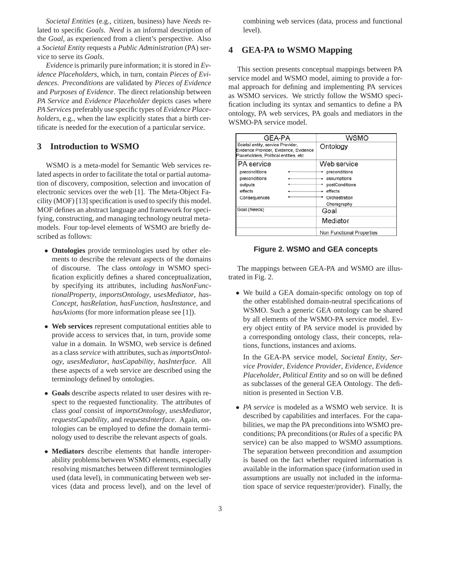*Societal Entities* (e.g., citizen, business) have *Needs* related to specific *Goals*. *Need* is an informal description of the *Goal*, as experienced from a client's perspective. Also a *Societal Entity* requests a *Public Administration* (PA) service to serve its *Goals*.

*Evidence* is primarily pure information; it is stored in *Evidence Placeholders*, which, in turn, contain *Pieces of Evidences*. *Preconditions* are validated by *Pieces of Evidence* and *Purposes of Evidence*. The direct relationship between *PA Service* and *Evidence Placeholder* depicts cases where *PA Services* preferably use specific types of *Evidence Placeholders*, e.g., when the law explicitly states that a birth certificate is needed for the execution of a particular service.

# **3 Introduction to WSMO**

WSMO is a meta-model for Semantic Web services related aspects in order to facilitate the total or partial automation of discovery, composition, selection and invocation of electronic services over the web [1]. The Meta-Object Facility (MOF) [13] specification is used to specify this model. MOF defines an abstract language and framework for specifying, constructing, and managing technology neutral metamodels. Four top-level elements of WSMO are briefly described as follows:

- **Ontologies** provide terminologies used by other elements to describe the relevant aspects of the domains of discourse. The class *ontology* in WSMO specification explicitly defines a shared conceptualization, by specifying its attributes, including *hasNonFunctionalProperty*, *importsOntology*, *usesMediator*, *has-Concept*, *hasRelation*, *hasFunction*, *hasInstance*, and *hasAxioms* (for more information please see [1]).
- **Web services** represent computational entities able to provide access to services that, in turn, provide some value in a domain. In WSMO, web service is defined as a class*service* with attributes, such as *importsOntology*, *usesMediator*, *hasCapability*, *hasInterface*. All these aspects of a web service are described using the terminology defined by ontologies.
- **Goals** describe aspects related to user desires with respect to the requested functionality. The attributes of class *goal* consist of *importsOntology*, *usesMediator*, *requestsCapability*, and *requestsInterface*. Again, ontologies can be employed to define the domain terminology used to describe the relevant aspects of goals.
- **Mediators** describe elements that handle interoperability problems between WSMO elements, especially resolving mismatches between different terminologies used (data level), in communicating between web services (data and process level), and on the level of

combining web services (data, process and functional level).

### **4 GEA-PA to WSMO Mapping**

This section presents conceptual mappings between PA service model and WSMO model, aiming to provide a formal approach for defining and implementing PA services as WSMO services. We strictly follow the WSMO specification including its syntax and semantics to define a PA ontology, PA web services, PA goals and mediators in the WSMO-PA service model.

|                                                                                                                      | GEA-PA | WSMO                      |
|----------------------------------------------------------------------------------------------------------------------|--------|---------------------------|
| Scietal entity, service Provider,<br>Evidence Provider, Evidence, Evidence<br>Placeholders, Political entities, etc. |        | Ontology                  |
| <b>PA</b> service                                                                                                    |        | Web service               |
| preconditions                                                                                                        |        | preconditions             |
| preconditions                                                                                                        |        | assumptions               |
| outputs                                                                                                              |        | postConditions            |
| effects                                                                                                              |        | effects                   |
| Consequences                                                                                                         |        | Orchestration             |
|                                                                                                                      |        | Choregraphy               |
| Goal (Needs)                                                                                                         |        | Goal                      |
|                                                                                                                      |        | Mediator                  |
|                                                                                                                      |        | Non Functional Properties |

#### **Figure 2. WSMO and GEA concepts**

The mappings between GEA-PA and WSMO are illustrated in Fig. 2.

• We build a GEA domain-specific ontology on top of the other established domain-neutral specifications of WSMO. Such a generic GEA ontology can be shared by all elements of the WSMO-PA service model. Every object entity of PA service model is provided by a corresponding ontology class, their concepts, relations, functions, instances and axioms.

In the GEA-PA service model, *Societal Entity*, *Service Provider*, *Evidence Provider*, *Evidence*, *Evidence Placeholder*, *Political Entity* and so on will be defined as subclasses of the general GEA Ontology. The definition is presented in Section V.B.

• *PA service* is modeled as a WSMO web service. It is described by capabilities and interfaces. For the capabilities, we map the PA preconditions into WSMO preconditions; PA preconditions (or *Rules* of a specific PA service) can be also mapped to WSMO assumptions. The separation between precondition and assumption is based on the fact whether required information is available in the information space (information used in assumptions are usually not included in the information space of service requester/provider). Finally, the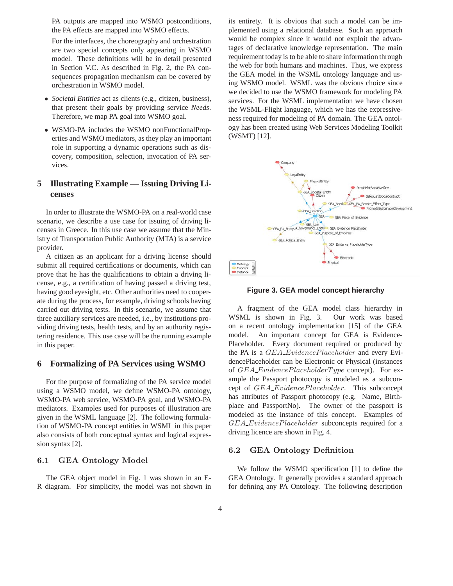PA outputs are mapped into WSMO postconditions, the PA effects are mapped into WSMO effects.

For the interfaces, the choreography and orchestration are two special concepts only appearing in WSMO model. These definitions will be in detail presented in Section V.C. As described in Fig. 2, the PA consequences propagation mechanism can be covered by orchestration in WSMO model.

- *Societal Entities* act as clients (e.g., citizen, business), that present their goals by providing service *Needs*. Therefore, we map PA goal into WSMO goal.
- WSMO-PA includes the WSMO nonFunctionalProperties and WSMO mediators, as they play an important role in supporting a dynamic operations such as discovery, composition, selection, invocation of PA services.

# **5 Illustrating Example — Issuing Driving Licenses**

In order to illustrate the WSMO-PA on a real-world case scenario, we describe a use case for issuing of driving licenses in Greece. In this use case we assume that the Ministry of Transportation Public Authority (MTA) is a service provider.

A citizen as an applicant for a driving license should submit all required certifications or documents, which can prove that he has the qualifications to obtain a driving license, e.g., a certification of having passed a driving test, having good eyesight, etc. Other authorities need to cooperate during the process, for example, driving schools having carried out driving tests. In this scenario, we assume that three auxiliary services are needed, i.e., by institutions providing driving tests, health tests, and by an authority registering residence. This use case will be the running example in this paper.

### **6 Formalizing of PA Services using WSMO**

For the purpose of formalizing of the PA service model using a WSMO model, we define WSMO-PA ontology, WSMO-PA web service, WSMO-PA goal, and WSMO-PA mediators. Examples used for purposes of illustration are given in the WSML language [2]. The following formulation of WSMO-PA concept entities in WSML in this paper also consists of both conceptual syntax and logical expression syntax [2].

#### **6.1 GEA Ontology Model**

The GEA object model in Fig. 1 was shown in an E-R diagram. For simplicity, the model was not shown in its entirety. It is obvious that such a model can be implemented using a relational database. Such an approach would be complex since it would not exploit the advantages of declarative knowledge representation. The main requirement today is to be able to share information through the web for both humans and machines. Thus, we express the GEA model in the WSML ontology language and using WSMO model. WSML was the obvious choice since we decided to use the WSMO framework for modeling PA services. For the WSML implementation we have chosen the WSML-Flight language, which we has the expressiveness required for modeling of PA domain. The GEA ontology has been created using Web Services Modeling Toolkit (WSMT) [12].





A fragment of the GEA model class hierarchy in WSML is shown in Fig. 3. Our work was based on a recent ontology implementation [15] of the GEA model. An important concept for GEA is Evidence-Placeholder. Every document required or produced by the PA is a *GEA EvidencePlaceholder* and every EvidencePlaceholder can be Electronic or Physical (instances of *GEA EvidencePlaceholderT ype* concept). For example the Passport photocopy is modeled as a subconcept of *GEA EvidencePlaceholder*. This subconcept has attributes of Passport photocopy (e.g. Name, Birthplace and PassportNo). The owner of the passport is modeled as the instance of this concept. Examples of *GEA EvidencePlaceholder* subconcepts required for a driving licence are shown in Fig. 4.

#### **6.2 GEA Ontology Definition**

We follow the WSMO specification [1] to define the GEA Ontology. It generally provides a standard approach for defining any PA Ontology. The following description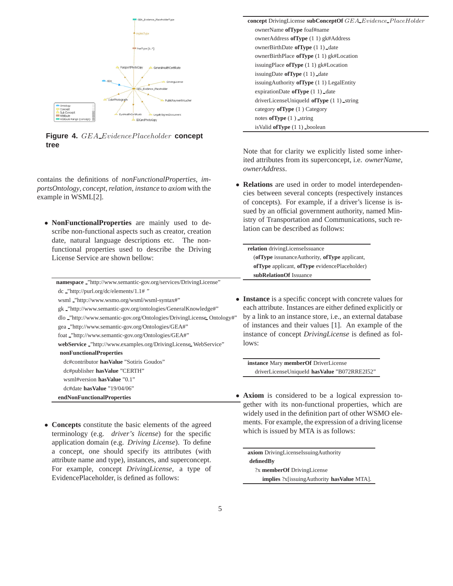

**Figure 4.** *GEA EvidencePlaceholder* **concept tree**

contains the definitions of *nonFunctionalProperties*, *importsOntology*, *concept*,*relation*, *instance* to *axiom* with the example in WSML[2].

• **NonFunctionalProperties** are mainly used to describe non-functional aspects such as creator, creation date, natural language descriptions etc. The nonfunctional properties used to describe the Driving License Service are shown bellow:

• **Concepts** constitute the basic elements of the agreed terminology (e.g. *driver's license*) for the specific application domain (e.g. *Driving License*). To define a concept, one should specify its attributes (with attribute name and type), instances, and superconcept. For example, concept *DrivingLicense*, a type of EvidencePlaceholder, is defined as follows:

**concept** DrivingLicense **subConceptOf** *GEA Evidence P laceHolder* ownerName **ofType** foaf#name ownerAddress **ofType** (1 1) gk#Address ownerBirthDate **ofType** (1 1) \_date ownerBirthPlace **ofType** (1 1) gk#Location issuingPlace **ofType** (1 1) gk#Location issuingDate ofType (1 1) date issuingAuthority **ofType** (1 1) LegalEntity expirationDate ofType (1 1) date driverLicenseUniqueId ofType (1 1) string category **ofType** (1 ) Category notes **of Type** (1) \_string isValid **ofType** (1 1) \_boolean

Note that for clarity we explicitly listed some inherited attributes from its superconcept, i.e. *ownerName*, *ownerAddress*.

• **Relations** are used in order to model interdependencies between several concepts (respectively instances of concepts). For example, if a driver's license is issued by an official government authority, named Ministry of Transportation and Communications, such relation can be described as follows:

**relation** drivingLicenseIssuance (**ofType** issunanceAuthority, **ofType** applicant, **ofType** applicant, **ofType** evidencePlaceholder) **subRelationOf** Issuance

• **Instance** is a specific concept with concrete values for each attribute. Instances are either defined explicitly or by a link to an instance store, i.e., an external database of instances and their values [1]. An example of the instance of concept *DrivingLicense* is defined as follows:

**instance** Mary **memberOf** DriverLicense driverLicenseUniqueId **hasValue** "B072RRE2I52"

• **Axiom** is considered to be a logical expression together with its non-functional properties, which are widely used in the definition part of other WSMO elements. For example, the expression of a driving license which is issued by MTA is as follows:

| axiom DrivingLicenseIssuingAuthority                     |
|----------------------------------------------------------|
| definedBy                                                |
| ?x member Of Driving License                             |
| <b>implies</b> ?x[issuingAuthority <b>hasValue</b> MTA]. |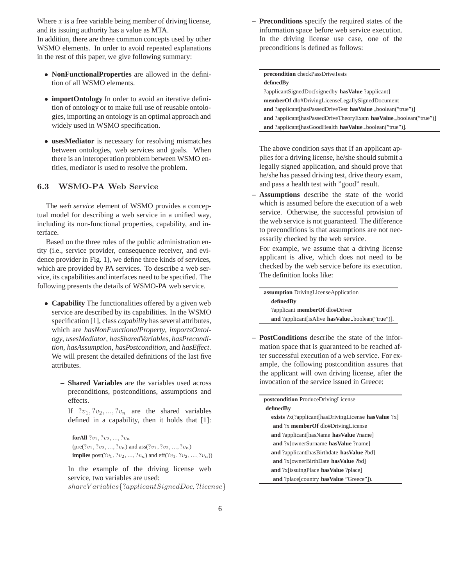Where  $x$  is a free variable being member of driving license, and its issuing authority has a value as MTA.

In addition, there are three common concepts used by other WSMO elements. In order to avoid repeated explanations in the rest of this paper, we give following summary:

- **NonFunctionalProperties** are allowed in the definition of all WSMO elements.
- **importOntology** In order to avoid an iterative definition of ontology or to make full use of reusable ontologies, importing an ontology is an optimal approach and widely used in WSMO specification.
- **usesMediator** is necessary for resolving mismatches between ontologies, web services and goals. When there is an interoperation problem between WSMO entities, mediator is used to resolve the problem.

# **6.3 WSMO-PA Web Service**

The *web service* element of WSMO provides a conceptual model for describing a web service in a unified way, including its non-functional properties, capability, and interface.

Based on the three roles of the public administration entity (i.e., service provider, consequence receiver, and evidence provider in Fig. 1), we define three kinds of services, which are provided by PA services. To describe a web service, its capabilities and interfaces need to be specified. The following presents the details of WSMO-PA web service.

- **Capability** The functionalities offered by a given web service are described by its capabilities. In the WSMO specification [1], class *capability* has several attributes, which are *hasNonFunctionalProperty*, *importsOntology*, *usesMediator*, *hasSharedVariables*, *hasPrecondition*, *hasAssumption*, *hasPostcondition*, and *hasEffect*. We will present the detailed definitions of the last five attributes.
	- **Shared Variables** are the variables used across preconditions, postconditions, assumptions and effects.

If  $?v_1, ?v_2, ..., ?v_n$  are the shared variables defined in a capability, then it holds that [1]:

**forAll** ?*v*1*,* ?*v*2*, ...,* ?*v<sup>n</sup>*  $(\text{pre}(?v_1, ?v_2, \ldots, ?v_n) \text{ and } \text{ass}(?v_1, ?v_2, \ldots, ?v_n)$ **implies** post(?*v*<sub>1</sub>*,* ?*v*<sub>2</sub>*, ...,* ?*v<sub>n</sub>*) and eff(?*v*<sub>1</sub>*,* ?*v*<sub>2</sub>*, ...,* ?*v<sub>n</sub>*))

In the example of the driving license web service, two variables are used: *shareV ariables*{?*applicantSignedDoc,* ?*license*} **– Preconditions** specify the required states of the information space before web service execution. In the driving license use case, one of the preconditions is defined as follows:

**precondition** checkPassDriveTests **definedBy** ?applicantSignedDoc[signedby **hasValue** ?applicant] **memberOf** dlo#DrivingLicenseLegallySignedDocument **and** ?applicant[hasPassedDriveTest **hasValue** boolean("true")] and ?applicant[hasPassedDriveTheoryExam hasValue\_boolean("true")] **and** ?applicant[hasGoodHealth **hasValue** boolean("true")].

The above condition says that If an applicant applies for a driving license, he/she should submit a legally signed application, and should prove that he/she has passed driving test, drive theory exam, and pass a health test with "good" result.

**– Assumptions** describe the state of the world which is assumed before the execution of a web service. Otherwise, the successful provision of the web service is not guaranteed. The difference to preconditions is that assumptions are not necessarily checked by the web service.

For example, we assume that a driving license applicant is alive, which does not need to be checked by the web service before its execution. The definition looks like:

**assumption** DrivingLicenseApplication **definedBy** ?applicant **memberOf** dlo#Driver and ?applicant[isAlive hasValue\_boolean("true")].

**– PostConditions** describe the state of the information space that is guaranteed to be reached after successful execution of a web service. For example, the following postcondition assures that the applicant will own driving license, after the invocation of the service issued in Greece:

| <b>postcondition</b> ProduceDrivingLicense              |
|---------------------------------------------------------|
| definedBy                                               |
| exists $2x(2applied$ thasDrivingLicense hasValue $2x$ ] |
| and ?x member Of dlo#Driving License                    |
| and ?applicant[hasName has Value ?name]                 |
| and ?x[ownerSurname has Value ?name]                    |
| and ?applicant[hasBirthdate has Value ?bd]              |
| and ?x[ownerBirthDate has Value ?bd]                    |
| and ?x[issuingPlace has Value ?place]                   |
| and ?place[country hasValue "Greece"]).                 |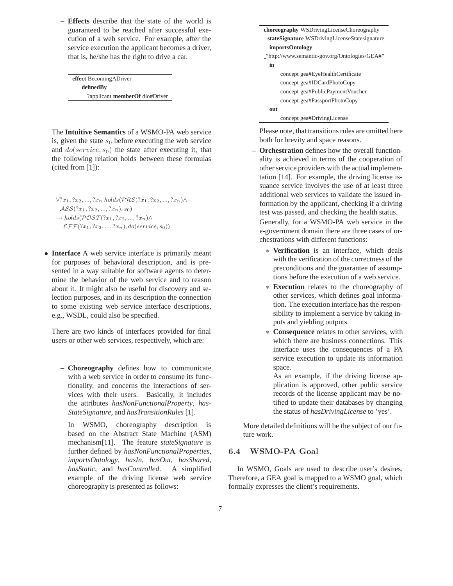**– Effects** describe that the state of the world is guaranteed to be reached after successful execution of a web service. For example, after the service execution the applicant becomes a driver, that is, he/she has the right to drive a car.

**effect** BecomingADriver **definedBy** ?applicant **memberOf** dlo#Driver

The **Intuitive Semantics** of a WSMO-PA web service is, given the state  $s_0$  before executing the web service and  $do(serve, s_0)$  the state after executing it, that the following relation holds between these formulas (cited from [1]):

```
∀?x_1, ?x_2, ..., ?x_n holds(PRE(?x_1, ?x_2, ..., ?x_n) \landASS(?x_1, ?x_2, ..., ?x_n), s_0)\rightarrow holds(\mathcal{POST}(?x_1, ?x_2, ..., ?x_n) \wedge\mathcal{EFF}(?x_1, ?x_2, \ldots, ?x_n), do(servative, s_0))
```
• **Interface** A web service interface is primarily meant for purposes of behavioral description, and is presented in a way suitable for software agents to determine the behavior of the web service and to reason about it. It might also be useful for discovery and selection purposes, and in its description the connection to some existing web service interface descriptions, e.g., WSDL, could also be specified.

There are two kinds of interfaces provided for final users or other web services, respectively, which are:

**– Choreography** defines how to communicate with a web service in order to consume its functionality, and concerns the interactions of services with their users. Basically, it includes the attributes *hasNonFunctionalProperty*, *has-StateSignature*, and *hasTransitionRules* [1].

In WSMO, choreography description is based on the Abstract State Machine (ASM) mechanism[11]. The feature *stateSignature* is further defined by *hasNonFunctionalProperties*, *importsOntology*, *hasIn*, *hasOut*, *hasShared*, *hasStatic*, and *hasControlled*. A simplified example of the driving license web service choreography is presented as follows:

**choreography** WSDrivingLicenseChoreography **stateSignature** WSDrivingLicenseStatesignature **importsOntology** "http://www.semantic-gov.org/Ontologies/GEA#" **in** concept gea#EyeHealthCertificate concept gea#IDCardPhotoCopy concept gea#PublicPaymentVoucher concept gea#PassportPhotoCopy **out** concept gea#DrivingLicense

Please note, that transitions rules are omitted here both for brevity and space reasons.

**– Orchestration** defines how the overall functionality is achieved in terms of the cooperation of other service providers with the actual implementation [14]. For example, the driving license issuance service involves the use of at least three additional web services to validate the issued information by the applicant, checking if a driving test was passed, and checking the health status.

Generally, for a WSMO-PA web service in the e-government domain there are three cases of orchestrations with different functions:

- ∗ **Verification** is an interface, which deals with the verification of the correctness of the preconditions and the guarantee of assumptions before the execution of a web service.
- ∗ **Execution** relates to the choreography of other services, which defines goal information. The execution interface has the responsibility to implement a service by taking inputs and yielding outputs.
- ∗ **Consequence** relates to other services, with which there are business connections. This interface uses the consequences of a PA service execution to update its information space.

As an example, if the driving license application is approved, other public service records of the license applicant may be notified to update their databases by changing the status of *hasDrivingLicense* to 'yes'.

More detailed definitions will be the subject of our future work.

## **6.4 WSMO-PA Goal**

In WSMO, Goals are used to describe user's desires. Therefore, a GEA goal is mapped to a WSMO goal, which formally expresses the client's requirements.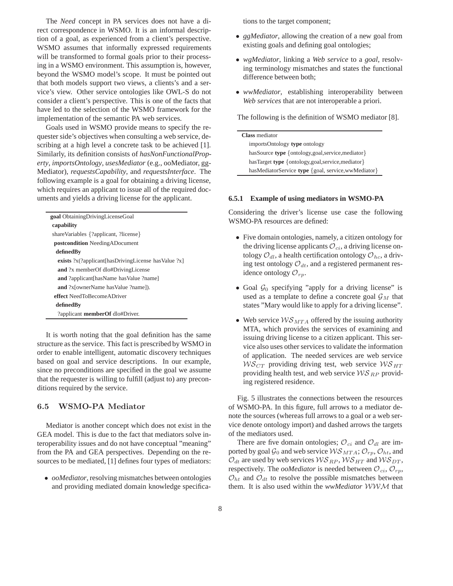The *Need* concept in PA services does not have a direct correspondence in WSMO. It is an informal description of a goal, as experienced from a client's perspective. WSMO assumes that informally expressed requirements will be transformed to formal goals prior to their processing in a WSMO environment. This assumption is, however, beyond the WSMO model's scope. It must be pointed out that both models support two views, a clients's and a service's view. Other service ontologies like OWL-S do not consider a client's perspective. This is one of the facts that have led to the selection of the WSMO framework for the implementation of the semantic PA web services.

Goals used in WSMO provide means to specify the requester side's objectives when consulting a web service, describing at a high level a concrete task to be achieved [1]. Similarly, its definition consists of *hasNonFunctionalProperty*, *importsOntology*, *usesMediator* (e.g., ooMediator, gg-Mediator), *requestsCapability*, and *requestsInterface*. The following example is a goal for obtaining a driving license, which requires an applicant to issue all of the required documents and yields a driving license for the applicant.

**goal** ObtainingDrivingLicenseGoal **capability** shareVariables {?applicant, ?license} **postcondition** NeedingADocument **definedBy exists** ?x(?applicant[hasDrivingLicense hasValue ?x] **and** ?x memberOf dlo#DrivingLicense **and** ?applicant[hasName hasValue ?name] **and** ?x[ownerName hasValue ?name]). **effect** NeedToBecomeADriver **definedBy** ?applicant **memberOf** dlo#Driver.

It is worth noting that the goal definition has the same structure as the service. This fact is prescribed by WSMO in order to enable intelligent, automatic discovery techniques based on goal and service descriptions. In our example, since no preconditions are specified in the goal we assume that the requester is willing to fulfill (adjust to) any preconditions required by the service.

### **6.5 WSMO-PA Mediator**

Mediator is another concept which does not exist in the GEA model. This is due to the fact that mediators solve interoperability issues and do not have conceptual "meaning" from the PA and GEA perspectives. Depending on the resources to be mediated, [1] defines four types of mediators:

• *ooMediator*, resolving mismatches between ontologies and providing mediated domain knowledge specifications to the target component;

- *ggMediator*, allowing the creation of a new goal from existing goals and defining goal ontologies;
- *wgMediator*, linking a *Web service* to a *goal*, resolving terminology mismatches and states the functional difference between both;
- *wwMediator*, establishing interoperability between *Web services* that are not interoperable a priori.

The following is the definition of WSMO mediator [8].

| <b>Class</b> mediator                               |
|-----------------------------------------------------|
| importsOntology type ontology                       |
| has Source type {ontology, goal, service, mediator} |
| has Target type {ontology, goal, service, mediator} |
| hasMediatorService type {goal, service, wwMediator} |

#### **6.5.1 Example of using mediators in WSMO-PA**

Considering the driver's license use case the following WSMO-PA resources are defined:

- Five domain ontologies, namely, a citizen ontology for the driving license applicants  $\mathcal{O}_{ci}$ , a driving license ontology  $\mathcal{O}_{dl}$ , a health certification ontology  $\mathcal{O}_{hc}$ , a driving test ontology  $\mathcal{O}_{dt}$ , and a registered permanent residence ontology  $\mathcal{O}_{rp}$ .
- Goal  $\mathcal{G}_0$  specifying "apply for a driving license" is used as a template to define a concrete goal  $\mathcal{G}_M$  that states "Mary would like to apply for a driving license".
- Web service  $WS_{MTA}$  offered by the issuing authority MTA, which provides the services of examining and issuing driving license to a citizen applicant. This service also uses other services to validate the information of application. The needed services are web service  $W{\cal S}_{CT}$  providing driving test, web service  $W{\cal S}_{HT}$ providing health test, and web service WS *RP* providing registered residence.

Fig. 5 illustrates the connections between the resources of WSMO-PA. In this figure, full arrows to a mediator denote the sources (whereas full arrows to a goal or a web service denote ontology import) and dashed arrows the targets of the mediators used.

There are five domain ontologies;  $\mathcal{O}_{ci}$  and  $\mathcal{O}_{dl}$  are imported by goal  $\mathcal{G}_0$  and web service  $\mathcal{WS}_{MTA}$ ;  $\mathcal{O}_{rp}$ ,  $\mathcal{O}_{ht}$ , and  $\mathcal{O}_{dt}$  are used by web services  $\mathcal{WS}_{RP}$ ,  $\mathcal{WS}_{HT}$  and  $\mathcal{WS}_{DT}$ , respectively. The *ooMediator* is needed between  $\mathcal{O}_{ci}$ ,  $\mathcal{O}_{rp}$ ,  $\mathcal{O}_{ht}$  and  $\mathcal{O}_{dt}$  to resolve the possible mismatches between them. It is also used within the *wwMediator* WWM that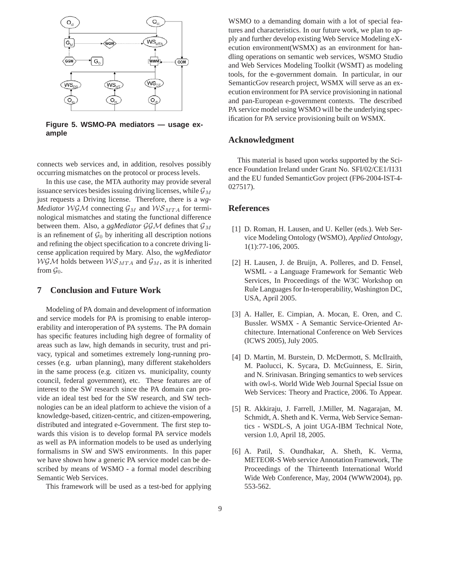

**Figure 5. WSMO-PA mediators — usage example**

connects web services and, in addition, resolves possibly occurring mismatches on the protocol or process levels.

In this use case, the MTA authority may provide several issuance services besides issuing driving licenses, while  $\mathcal{G}_M$ just requests a Driving license. Therefore, there is a *wg-Mediator* WGM connecting  $\mathcal{G}_M$  and WS<sub>MTA</sub> for terminological mismatches and stating the functional difference between them. Also, a *ggMediator* GGM defines that G*<sup>M</sup>* is an refinement of  $\mathcal{G}_0$  by inheriting all description notions and refining the object specification to a concrete driving license application required by Mary. Also, the *wgMediator WGM* holds between  $WS_{MTA}$  and  $\mathcal{G}_M$ , as it is inherited from  $\mathcal{G}_0$ .

# **7 Conclusion and Future Work**

Modeling of PA domain and development of information and service models for PA is promising to enable interoperability and interoperation of PA systems. The PA domain has specific features including high degree of formality of areas such as law, high demands in security, trust and privacy, typical and sometimes extremely long-running processes (e.g. urban planning), many different stakeholders in the same process (e.g. citizen vs. municipality, county council, federal government), etc. These features are of interest to the SW research since the PA domain can provide an ideal test bed for the SW research, and SW technologies can be an ideal platform to achieve the vision of a knowledge-based, citizen-centric, and citizen-empowering, distributed and integrated e-Government. The first step towards this vision is to develop formal PA service models as well as PA information models to be used as underlying formalisms in SW and SWS environments. In this paper we have shown how a generic PA service model can be described by means of WSMO - a formal model describing Semantic Web Services.

This framework will be used as a test-bed for applying

WSMO to a demanding domain with a lot of special features and characteristics. In our future work, we plan to apply and further develop existing Web Service Modeling eXecution environment(WSMX) as an environment for handling operations on semantic web services, WSMO Studio and Web Services Modeling Toolkit (WSMT) as modeling tools, for the e-government domain. In particular, in our SemanticGov research project, WSMX will serve as an execution environment for PA service provisioning in national and pan-European e-government contexts. The described PA service model using WSMO will be the underlying specification for PA service provisioning built on WSMX.

#### **Acknowledgment**

This material is based upon works supported by the Science Foundation Ireland under Grant No. SFI/02/CE1/I131 and the EU funded SemanticGov project (FP6-2004-IST-4- 027517).

#### **References**

- [1] D. Roman, H. Lausen, and U. Keller (eds.). Web Service Modeling Ontology (WSMO), *Applied Ontology*, 1(1):77-106, 2005.
- [2] H. Lausen, J. de Bruijn, A. Polleres, and D. Fensel, WSML - a Language Framework for Semantic Web Services, In Proceedings of the W3C Workshop on Rule Languages for In-teroperability, Washington DC, USA, April 2005.
- [3] A. Haller, E. Cimpian, A. Mocan, E. Oren, and C. Bussler. WSMX - A Semantic Service-Oriented Architecture. International Conference on Web Services (ICWS 2005), July 2005.
- [4] D. Martin, M. Burstein, D. McDermott, S. McIlraith, M. Paolucci, K. Sycara, D. McGuinness, E. Sirin, and N. Srinivasan. Bringing semantics to web services with owl-s. World Wide Web Journal Special Issue on Web Services: Theory and Practice, 2006. To Appear.
- [5] R. Akkiraju, J. Farrell, J.Miller, M. Nagarajan, M. Schmidt, A. Sheth and K. Verma, Web Service Semantics - WSDL-S, A joint UGA-IBM Technical Note, version 1.0, April 18, 2005.
- [6] A. Patil, S. Oundhakar, A. Sheth, K. Verma, METEOR-S Web service Annotation Framework, The Proceedings of the Thirteenth International World Wide Web Conference, May, 2004 (WWW2004), pp. 553-562.